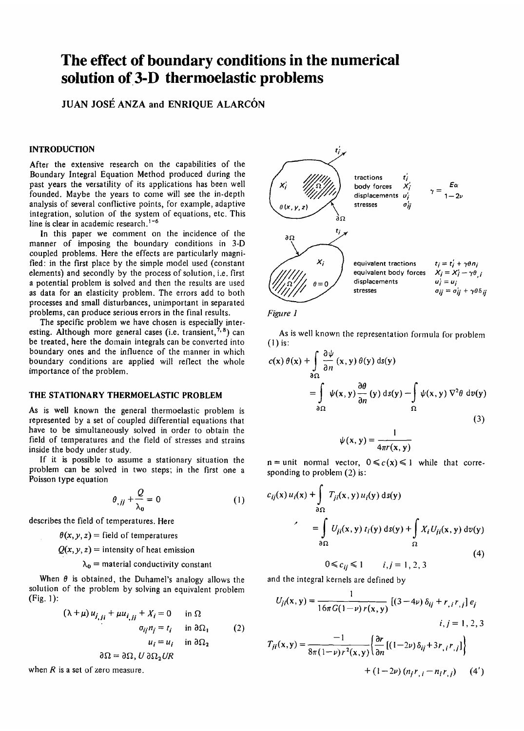# **The effect of boundary conditions in the numerical solution of 3-D thermoelastic problems**

**JUAN JOSÉ ANZA and ENRIQUE ALARCÓN** 

# **INTRODUCTION**

After the extensive research on the capabilities of the Boundary Integral Equation Method produced during the past years the versatility of its applications has been well founded. Maybe the years to come will see the in-depth analysis of severa) conflictive points, for example, adaptive integration, solution of the system of equations, etc. This line is clear in academic research.<sup>1-6</sup>

In this paper we comment on the incidence of the manner of imposing the boundary conditions in 3-D coupled problems. Here the effects are particularly magnified: in the first place by the simple model used (constant elements) and secondly by the process of solution, i.e. first a potential problem is solved and then the results are used as data for an elasticity problem. The errors add to both processes and small disturbances, unimportant in separated problems, can produce serious errors in the final results.

The specific problem we have chosen is especially interesting. Although more general cases (i.e. transient,<sup>7,8</sup>) can be treated, here the domain integrals can be converted into boundary ones and the influence of the manner in which boundary conditions are applied will reflect the whole importance of the problem.

# **THE STATIONARY THERMOELASTIC PROBLEM**

As is well known the general thermoelastic problem is represented by a set of coupled differential equations that have to be simultaneously solved in arder to obtain the field of temperatures and the field of stresses and strains inside the body under study.

If it is possible to assume a stationary situation the problem can be solved in two steps; in the first one a Poisson type equation

$$
\theta_{,jj} + \frac{Q}{\lambda_0} = 0 \tag{1}
$$

describes the field of temperatures. Here

 $\theta(x, y, z)$  = field of temperatures

 $Q(x, y, z)$  = intensity of heat emission

 $\lambda_0$  = material conductivity constant

When  $\theta$  is obtained, the Duhamel's analogy allows the solution of the problem by solving an equivalent problem  $(Fig. 1)$ :

$$
(\lambda + \mu) u_{i, ii} + \mu u_{i, ii} + X_i = 0 \quad \text{in } \Omega
$$
  
\n
$$
\sigma_{ij} n_j = t_i \quad \text{in } \partial\Omega_1
$$
  
\n
$$
u_i = u_i \quad \text{in } \partial\Omega_2
$$
  
\n
$$
\partial\Omega = \partial\Omega, U \partial\Omega_2 U R
$$
 (2)

when  $R$  is a set of zero measure.





As is well known the representation formula for problem (1) is:

$$
c(x) \theta(x) + \int_{\partial \Omega} \frac{\partial \psi}{\partial n}(x, y) \theta(y) ds(y)
$$
  
= 
$$
\int_{\partial \Omega} \psi(x, y) \frac{\partial \theta}{\partial n}(y) ds(y) - \int_{\Omega} \psi(x, y) \nabla^2 \theta dv(y)
$$
  
(3)

$$
\psi(x, y) = \frac{1}{4\pi r(x, y)}
$$

 $n =$  unit normal vector,  $0 \le c(x) \le 1$  while that corresponding to problem (2) is:

$$
c_{ij}(x) u_i(x) + \int_{\partial \Omega} T_{ji}(x, y) u_i(y) ds(y)
$$
  
\n
$$
= \int_{\partial \Omega} U_{ji}(x, y) t_i(y) ds(y) + \int_{\Omega} X_i U_{ji}(x, y) dv(y)
$$
  
\n
$$
0 \le c_{ij} \le 1 \qquad i, j = 1, 2, 3
$$
\n(4)

and the integral kernels are defined by

$$
U_{ji}(x, y) = \frac{1}{16\pi G(1 - \nu) r(x, y)} [(3 - 4\nu) \delta_{ij} + r_{,i} r_{,j}] e_j
$$
  

$$
i, j = 1, 2, 3
$$
  

$$
T_{ji}(x, y) = \frac{-1}{8\pi (1 - \nu) r^2(x, y)} \left\{ \frac{\partial r}{\partial n} [(1 - 2\nu) \delta_{ij} + 3r_{,i} r_{,j}] \right\}
$$
  

$$
+ (1 - 2\nu) (n_j r_{,i} - n_i r_{,j})
$$
 (4')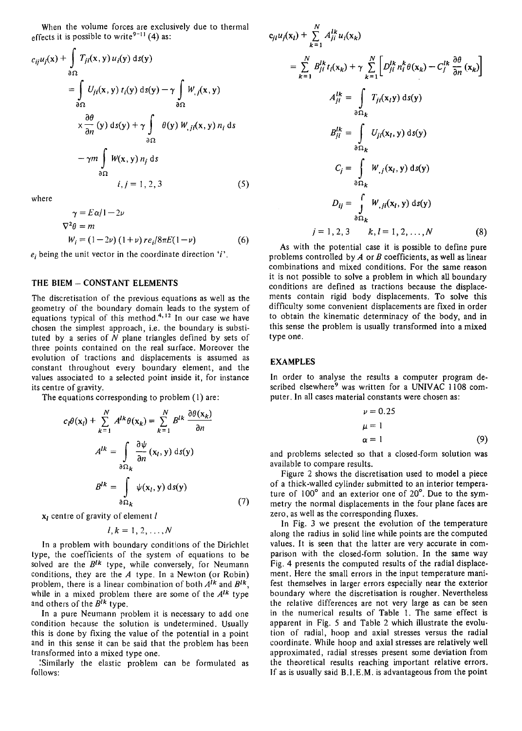When the volume forces are exclusively due to thermal effects it is possible to write<sup>9-11</sup> (4) as:

$$
c_{ij}u_j(x) + \int_{\partial\Omega} T_{ji}(x, y) u_i(y) ds(y)
$$
  
= 
$$
\int_{\partial\Omega} U_{ji}(x, y) t_i(y) ds(y) - \gamma \int_{\partial\Omega} W_{,j}(x, y)
$$
  

$$
\times \frac{\partial \theta}{\partial n} (y) ds(y) + \gamma \int_{\partial\Omega} \theta(y) W_{,ji}(x, y) n_i ds
$$
  

$$
- \gamma m \int_{\partial\Omega} W(x, y) n_j ds
$$
  

$$
i, j = 1, 2, 3
$$
 (5)

where

$$
\gamma = E \alpha / 1 - 2\nu
$$
  
\n
$$
\nabla^2 \theta = m
$$
  
\n
$$
W_i = (1 - 2\nu) (1 + \nu) r e_i / 8\pi E (1 - \nu)
$$
 (6)

 $e_i$  being the unit vector in the coordinate direction 'i'.

#### THE BIEM - CONSTANT ELEMENTS

The discretisation of the previous equations as well as the geometry of the boundary domain leads to the system of equations typical of this method.<sup>4,12</sup> In our case we have chosen the simplest approach, i.e. the boundary is substituted by a series of  $N$  plane triangles defined by sets of three points contained on the real surface. Moreover the evolution of tractions and displacements is assumed as constant throughout every boundary element, and the values associated to a selected point inside it, for instance its centre of gravity.

The equations corresponding to problem (1) are:  
\n
$$
c_l\theta(\mathbf{x}_l) + \sum_{k=1}^N A^{lk}\theta(\mathbf{x}_k) = \sum_{k=1}^N B^{lk} \frac{\partial \theta(\mathbf{x}_k)}{\partial n}
$$
\n
$$
A^{lk} = \int_{\partial \Omega_k} \frac{\partial \psi}{\partial n} (\mathbf{x}_l, \mathbf{y}) d s(\mathbf{y})
$$
\n
$$
B^{lk} = \int_{\partial \Omega_k} \psi(\mathbf{x}_l, \mathbf{y}) d s(\mathbf{y})
$$
\n(7)

 $x_l$  centre of gravity of element  $l$ 

$$
l,k=1,2,\ldots,N
$$

In a problem with boundary conditions of the Dirichlet type, the coefficients of the system of equations to be solved are the  $B^{1k}$  type, while conversely, for Neumann conditions, they are the *A* type. In a Newton (or Robín) problem, there is a linear combination of both  $A^{lk}$  and  $B^{lk}$ , while in a mixed problem there are some of the  $A^{lk}$  type and others of the B*1k* type.

In a pure Neumann problem it is necessary to add one condition because the solution is undetermined. Usually this is done by fixing the value of the potential in a point and in this sense it can be said that the problem has been transformed into a mixed type one.

:Similarly the elastic problem can be formulated as follows:

$$
c_{jl}u_j(\mathbf{x}_l) + \sum_{k=1}^N A_{ji}^{lk} u_i(\mathbf{x}_k)
$$
  
\n
$$
= \sum_{k=1}^N B_{ji}^{lk} t_i(\mathbf{x}_k) + \gamma \sum_{k=1}^N \left[ D_{ji}^{lk} n_i^k \theta(\mathbf{x}_k) - C_j^{lk} \frac{\partial \theta}{\partial n}(\mathbf{x}_k) \right]
$$
  
\n
$$
A_{ji}^{lk} = \int_{\partial \Omega_k} T_{ji}(\mathbf{x}_l y) \, d s(y)
$$
  
\n
$$
B_{ji}^{lk} = \int_{\partial \Omega_k} U_{ji}(\mathbf{x}_l, y) \, d s(y)
$$
  
\n
$$
C_j = \int_{\partial \Omega_k} W_{,j}(\mathbf{x}_l, y) \, d s(y)
$$
  
\n
$$
D_{ij} = \int_{\partial \Omega_k} W_{,ji}(\mathbf{x}_l, y) \, d s(y)
$$
  
\n
$$
j = 1, 2, 3 \qquad k, l = 1, 2, ..., N
$$
 (8)

As with the potential case it is possible to define pure problems controlled by *A* or *B* coefficients, as well as linear combinations and mixed conditions. For the same reason it is not possible to solve a problem in which all boundary conditions are defined as tractions because the displacements contain rigid body displacements. To solve this difficulty some convenient displacements are fixed in order to obtain the kinematic determinacy of the body, and in this sense the problem is usually transformed into a mixed type one.

### EXAMPLES

In order to analyse the results a computer program described elsewhere<sup>9</sup> was written for a UNIVAC 1108 computer. In all cases material constants were chosen as:

$$
\begin{aligned}\n \nu &= 0.25 \\
\mu &= 1 \\
\alpha &= 1\n \end{aligned}\n \tag{9}
$$

and problems selected so that a closed-form solution was available to compare results.

Figure 2 shows the discretisation used to model a piece of a thick-walled cylinder submitted to an interior temperature of  $100^\circ$  and an exterior one of  $20^\circ$ . Due to the symmetry the normal displacements in the four plane faces are zero, as well as the corresponding fluxes.

In Fig. 3 we present the evolution of the temperature along the radius in solid line while points are the computed values. It is seen that the latter are very accurate in comparison with the closed-form solution. In the same way Fig. 4 presents the computed results of the radial displacement. Here the small errors in the input temperature manifest themselves in larger errors especially near the exterior boundary where the discretisation is rougher. Nevertheless the relative differences are not very large as can be seen in the numerical results of Table 1. The same effect is apparent in Fig. 5 and Table 2 which illustrate the evolution of radial, hoop and axial stresses versus the radial coordinate. While hoop and axial stresses are relatively well approximated, radial stresses present some deviation from the theoretical results reaching important relative errors. lf as is usually said B.I.E.M. is advantageous from the point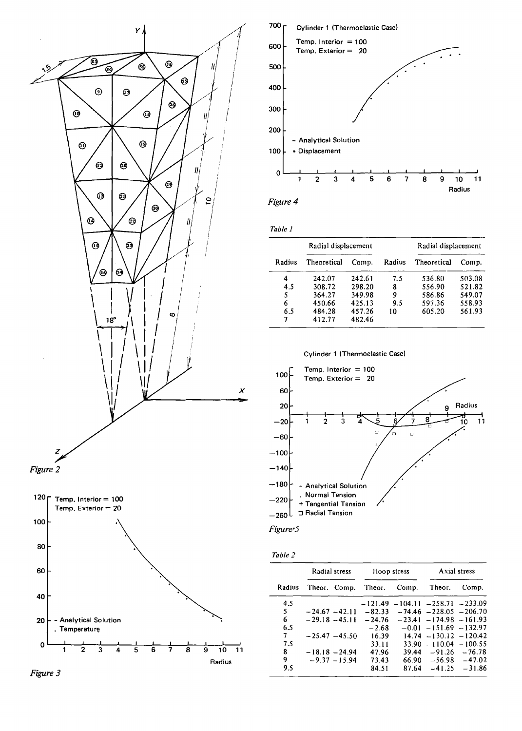







|        | Radial displacement |        |        | Radial displacement |        |  |
|--------|---------------------|--------|--------|---------------------|--------|--|
| Radius | Theoretical         | Comp.  | Radius | Theoretical         | Comp.  |  |
| 4      | 242.07              | 242.61 | 7.5    | 536.80              | 503.08 |  |
| 4.5    | 308.72              | 298.20 | 8      | 556.90              | 521.82 |  |
| 5      | 364.27              | 349.98 | 9      | 586.86              | 549.07 |  |
| 6      | 450.66              | 425.13 | 9.5    | 597.36              | 558.93 |  |
| 6.5    | 484.28              | 457.26 | 10     | 605.20              | 561.93 |  |
| 7      | 412.77              | 482.46 |        |                     |        |  |





|--|--|

|        |                  | Radial stress<br>Hoop stress |           | Axial stress       |                            |                  |
|--------|------------------|------------------------------|-----------|--------------------|----------------------------|------------------|
| Radius |                  | Theor. Comp.                 | Theor.    | Comp.              | Theor.                     | Comp.            |
| 4.5    |                  |                              | $-121.49$ | $-104.11 - 258.71$ |                            | $-233.09$        |
| 5      | $-24.67 - 42.11$ |                              | $-82.33$  |                    | $-74.46 - 228.05 - 206.70$ |                  |
| 6      | $-29.18 - 45.11$ |                              | $-24.76$  |                    | $-23.41 - 174.98 - 161.93$ |                  |
| 6.5    |                  |                              | $-2.68$   |                    | $-0.01 - 151.69 - 132.97$  |                  |
| 7      |                  | $-25.47 - 45.50$             | 16.39     |                    | $14.74 - 130.12 - 120.42$  |                  |
| 7.5    |                  |                              | 33.11     | 33.90              | $-110.04 - 100.55$         |                  |
| 8.     |                  | $-18.18 - 24.94$             | 47.96     | 39.44              |                            | $-91.26 - 76.78$ |
| 9      |                  | $-9.37 - 15.94$              | 73.43     |                    | $66.90 - 56.98 - 47.02$    |                  |
| 9.5    |                  |                              | 84.51     | 87.64              | $-41.25$                   | $-31.86$         |

*Figure 3*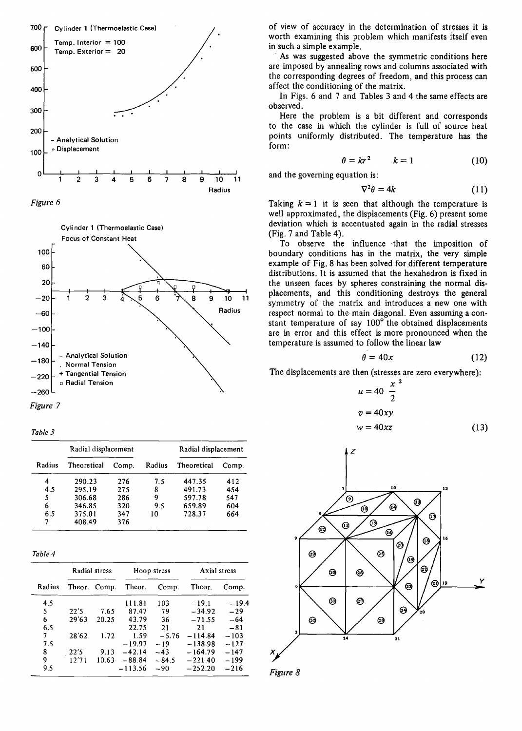





*Figure* 7

*Table 3* 

|        | Radial displacement |       |        | Radial displacement |       |
|--------|---------------------|-------|--------|---------------------|-------|
| Radius | Theoretical         | Comp. | Radius | Theoretical         | Comp. |
| 4      | 290.23              | 276   | 7.5    | 447.35              | 412   |
| 4.5    | 295.19              | 275   | 8      | 491.73              | 454   |
| 5      | 306.68              | 286   | 9      | 597.78              | 547   |
| 6      | 346.85              | 320   | 9.5    | 659.89              | 604   |
| 6.5    | 375.01              | 347   | 10     | 728.37              | 664   |
| 7      | 408.49              | 376   |        |                     |       |

| anı |  |
|-----|--|
|-----|--|

|        | Radial stress |              |           | Hoop stress | Axial stress |         |  |
|--------|---------------|--------------|-----------|-------------|--------------|---------|--|
| Radius |               | Theor. Comp. | Theor.    | Comp.       | Theor.       | Comp.   |  |
| 4.5    |               |              | 111.81    | 103         | $-19.1$      | $-19.4$ |  |
| 5      | 22'5          | 7.65         | 87.47     | 79          | $-34.92$     | $-29$   |  |
| 6      | 29'63         | 20.25        | 43.79     | 36          | $-71.55$     | $-64$   |  |
| 6.5    |               |              | 22.75     | 21          | 21           | $-81$   |  |
| 7      | 28'62         | 1.72         | 1.59      | $-5.76$     | $-114.84$    | $-103$  |  |
| 7.5    |               |              | $-19.97$  | $-19$       | $-138.98$    | $-127$  |  |
| 8      | 22'5          | 9.13         | $-42.14$  | $-43$       | $-164.79$    | $-147$  |  |
| 9      | 12'71         | 10.63        | $-88.84$  | $-84.5$     | $-221.40$    | $-199$  |  |
| 9.5    |               |              | $-113.56$ | $-90$       | $-252.20$    | $-216$  |  |

of view of accuracy in the determination of stresses it is worth examining this problem which manifests itself even in such a simple example.

As was suggested above the symmetric conditions here are imposed by annealing rows and columns associated with the corresponding degrees of freedom, and this process can affect the conditioning of the matrix.

In Figs. 6 and 7 and Tables 3 and 4 the same effects are observed.

Here the problem is a bit different and corresponds to the case in which the cylinder is full of source heat points uniformly distributed. The temperature has the form:

$$
\theta = kr^2 \qquad k = 1 \tag{10}
$$

and the governing equation is:

$$
\nabla^2 \theta = 4k \tag{11}
$$

Taking  $k = 1$  it is seen that although the temperature is well approximated, the displacements (Fig. 6) present some deviation which is accentuated again in the radial stresses (Fig. 7 and Table 4).

To observe the influence that the imposition of boundary conditions has in the matrix, the very simple example of Fig. 8 has been solved for different temperature distributions. It is assumed that the hexahedron is fixed in the unseen faces by spheres constraining the normal displacements, and this conditioning destroys the general symmetry of the matrix and introduces a new one with respect normal to the main diagonal. Even assuming a constant temperature of say 100° the obtained displacements are in error and this effect is more pronounced when the temperature is assumed to follow the linear law

$$
\theta = 40x \tag{12}
$$

The displacements are then (stresses are zero everywhere):

$$
u = 40 \frac{x^2}{2}
$$
  

$$
v = 40xy
$$
  

$$
w = 40xz
$$
 (13)



*Figure 8*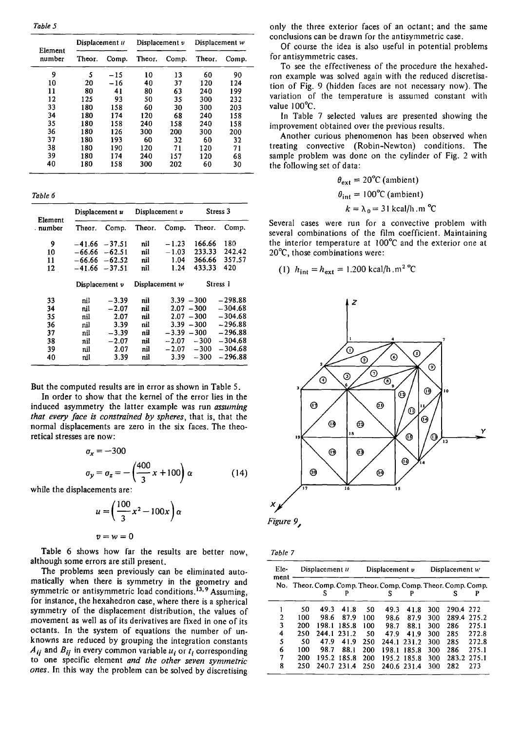*Table 5* 

|                   | Displacement u |       | Displacement $v$ |       | Displacement w |       |  |
|-------------------|----------------|-------|------------------|-------|----------------|-------|--|
| Element<br>number | Theor.         | Comp. | Theor.           | Comp. | Theor.         | Comp. |  |
| 9                 | 5              | $-15$ | 10               | 13    | 60             | 90    |  |
| 10                | 20             | $-16$ | 40               | 37    | 120            | 124   |  |
| 11                | 80             | 41    | 80               | 63    | 240            | 199   |  |
| 12                | 125            | 93    | 50               | 35    | 300            | 232   |  |
| 33                | 180            | 158   | 60               | 30    | 300            | 203   |  |
| 34                | 180            | 174   | 120              | 68    | 240            | 158   |  |
| 35                | 180            | 158   | 240              | 158   | 240            | 158   |  |
| 36                | 180            | 126   | 300              | 200   | 300            | 200   |  |
| 37                | 180            | 193   | 60               | 32    | 60             | 32    |  |
| 38                | 180            | 190   | 120              | 71    | 120            | 71    |  |
| 39                | 180            | 174   | 240              | 157   | 120            | 68    |  |
| 40                | 180            | 158   | 300              | 202   | 60             | 30    |  |

*Table 6* 

| Element | Displacement u   |          | Displacement v |         | Stress 3     |           |  |
|---------|------------------|----------|----------------|---------|--------------|-----------|--|
| number  | Theor.           | Comp.    | Theor.         | Comp.   | Theor.       | Comp.     |  |
| 9       | -41.66           | $-37.51$ | nil            | $-1.23$ | 166.66       | 180       |  |
| 10      | –66.66           | $-62.51$ | nil            | $-1.03$ | 233.33       | 242.42    |  |
| 11      | –66.66           | $-62.52$ | nil            | 1.04    | 366.66       | 357.57    |  |
| 12      | -41.66           | $-37.51$ | nil            | 1.24    | 433.33       | 420       |  |
|         | Displacement $v$ |          | Displacement w |         | Stress 1     |           |  |
| 33      | nil              | $-3.39$  | nil            |         | $3.39 - 300$ | -298.88   |  |
| 34      | nil              | $-2.07$  | nil            |         | $2.07 - 300$ | $-304.68$ |  |
| 35      | nil              | 2.07     | nil            |         | $2.07 - 300$ | $-304.68$ |  |
| 36      | nil              | 3.39     | nil            | 3.39    | $-300$       | $-296.88$ |  |
| 37      | nil              | $-3.39$  | nil            | $-3.39$ | $-300$       | $-296.88$ |  |
| 38      | nil              | $-2.07$  | nil            | $-2.07$ | $-300$       | $-304.68$ |  |
| 39      | nil              | 2.07     | nil            | $-2.07$ | $-300$       | $-304.68$ |  |
| 40      | nil              | 3.39     | nil            | 3.39    | $-300$       | $-296.88$ |  |

But the computed results are in error as shown in Table S.

In order to show that the kernel of the error líes in the induced asymmetry the Jatter exarnple was run *assuming that every face is constrained by spheres,* that is, that the normal displacements are zero in the six faces. The theoretical stresses are now:

$$
\sigma_x = -300
$$
  
\n
$$
\sigma_y = \sigma_z = -\left(\frac{400}{3}x + 100\right)\alpha
$$
 (14)

while the displacements are:

$$
u = \left(\frac{100}{3}x^2 - 100x\right)\alpha
$$
  

$$
v = w = 0
$$

Table 6 shows how far the results are better now, although sorne errors are still present.

The problems seen previously can be eliminated automatically when there is symmetry in the geometry and symmetric or antisymmetric load conditions.<sup>13,9</sup> Assuming, for instance, the hexahedron case, where there is a spherical symmetry of the displacement distribution, the values of movement as well as of its derivatives are fixed in one of its octants. In the system of equations the number of unknowns are reduced by grouping the integration constants  $A_{ij}$  and  $B_{ij}$  in every common variable  $u_i$  or  $t_i$  corresponding to one specific element *and the other seven symmetric ones.* In this way the problem can be solved by discretising

only the three exterior faces of an octant; and the same conclusíons can be drawn for the antisymmetric case.

Of course the idea ís also useful in potential problems for antisymmetric cases.

To see the effectiveness of the procedure the hexahedron example was solved again with the reduced díscretisation of Fig. 9 (hidden faces are not necessary now). The variation of the temperature is assumed constant with value  $100^{\circ}$ C.

In Table 7 selected values are presented showing the improvement obtained over the previous results.

Another curious phenomenon has been observed when treatíng convectíve (Robin-Newton) conditions. The sample problem was done on the cylinder of Fig. 2 wíth the following set of data:

$$
\theta_{ext} = 20^{\circ}C \text{ (ambient)}
$$
  
\n
$$
\theta_{int} = 100^{\circ}C \text{ (ambient)}
$$
  
\n
$$
k = \lambda_0 = 31 \text{ kcal/h.m } ^{\circ}C
$$

Severa) cases were run for a convective problem wíth several combinations of the film coefficient. Maintaining the interior temperature at  $100^{\circ}$ C and the exterior one at 20°C, those combinations were:

(1) 
$$
h_{\text{int}} = h_{\text{ext}} = 1.200 \text{ kcal/h} \cdot \text{m}^2 \text{°C}
$$





| n |
|---|
|---|

| Ele-<br>ment |     | Displacement u |             |     | Displacement $\nu$                                           |             |     | Displacement w |       |
|--------------|-----|----------------|-------------|-----|--------------------------------------------------------------|-------------|-----|----------------|-------|
|              |     |                |             |     | No. Theor. Comp. Comp. Theor. Comp. Comp. Theor. Comp. Comp. |             |     |                |       |
|              |     | s              |             |     | s                                                            |             |     |                |       |
|              | 50  | 49.3           | 41.8        | 50  | 49.3                                                         | 41.8        | 300 | 290.4          | 272   |
| 2            | 100 | 98.6           | 87.9        | 100 | 98.6                                                         | 87.9        | 300 | 289.4          | 275.2 |
| 3            | 200 | 198.1          | 185.8       | 100 | 98.7                                                         | 88.1        | 300 | 286            | 275.1 |
| 4            | 250 | 244.1          | 231.2       | 50  | 47.9                                                         | 41.9        | 300 | 285            | 272.8 |
| 5            | 50  | 47.9           | 41.9        | 250 | 244.1                                                        | 231.2       | 300 | 285            | 272.8 |
| 6            | 100 | 98.7           | 88.1        | 200 | 198.1                                                        | 185.8       | 300 | 286            | 275.1 |
| 7            | 200 | 195.2          | 185.8       | 200 |                                                              | 195.2 185.8 | 300 | 283.2          | 275.1 |
| 8            | 250 |                | 240.7 231.4 | 250 |                                                              | 240.6 231.4 | 300 | 282            | 273   |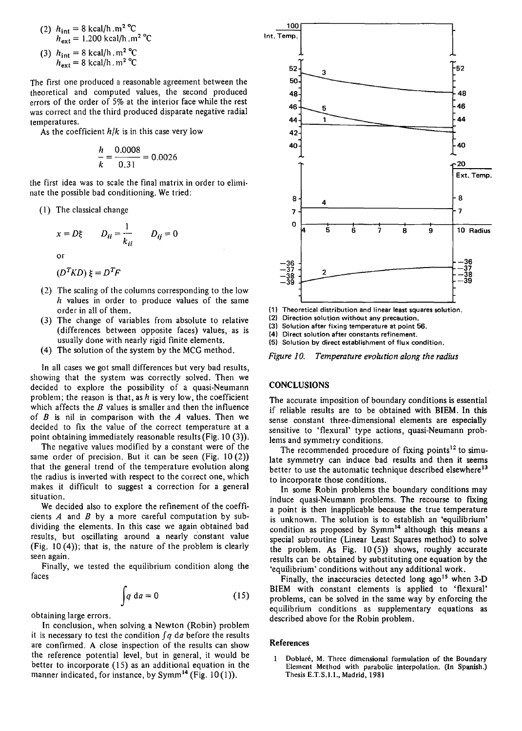(2) 
$$
h_{int} = 8 \text{ kcal/h.m}^2 \text{ °C}
$$
  
\n $h_{ext} = 1.200 \text{ kcal/h.m}^2 \text{ °C}$   
\n(3)  $h_{int} = 8 \text{ kcal/h.m}^2 \text{ °C}$ 

 $h_{\text{ext}} = 8 \text{ kcal/h} \cdot \text{m}^2 \text{ °C}$ 

The first one produced a reasonable agreement between the theoretical and computed values, the second produced errors of the order of 5% at the interior face while the rest was correct and the third produced disparate negative radial temperatures.

As the coefficient *h/k* is in this case very low

$$
\frac{h}{k} = \frac{0.0008}{0.31} = 0.0026
$$

the first idea was to scale the final matrix in order to eliminate the possible bad conditioning. We tried:

( 1) The classical change

$$
x = D\xi \t D_{ii} = \frac{1}{k_{ii}} \t D_{ij} = 0
$$
or

or

$$
(D^T K D) \xi = D^T F
$$

- (2) The scaling of the columns corresponding to the low  $h$  values in order to produce values of the same order in all of them.
- (3) The change of variables from absolute to relative (differences between opposite faces) values, as is usually done with nearly rigid finite elements.
- (4) The solution of the system by the MCG method.

In a11 cases we got small differences but very bad results, showing that the system was correctly solved. Then we decided to explore the possibility of a quasi-Neumann problem; the reason is that, as  $h$  is very low, the coefficient which affects the  $B$  values is smaller and then the influence of  $B$  is nil in comparison with the  $A$  values. Then we decided to fix the value of the correct temperature at a point obtaining immediately reasonable results (Fig.  $10(3)$ ).

The negative values modified by a constant were of the same order of precision. But it can be seen (Fig. 10(2)) that the general trend of the temperature evolution along the radius is inverted with respect to the correct one, which makes it difficult to suggest a correction for a general situation.

We decided also to explore the refinement of the coefficients  $A$  and  $B$  by a more careful computation by subdividing the elements. In this case we again obtained bad results, but oscillating around a nearly constant value (Fig. 10 (4)); that is, the nature of the problem is clearly seen again.

Finally, we tested the equilibrium condition along the faces

$$
\int q \, \mathrm{d}a = 0 \tag{15}
$$

obtaining large errors.

In conclusion, when solving a Newton (Robin) problem it is necessary to test the condition  $\int q \, d\alpha$  before the results are confirmed. A close inspection of the results can show the reference potential level, but in general, it would be better to incorporate  $(15)$  as an additional equation in the manner indicated, for instance, by Symm<sup>14</sup> (Fig. 10(1)).



(1) Theoretical distribution and linear least squares solution.

(2) Direction solution without any precaution.

(3) Solution after fixing temperature at point 56.

(4) Direct solution after constants refinement.

(5) Solution by direct establishment of flux condition.

*Figure JO. Temperature evolution along the radius* 

# **CONCLUSIONS**

The accurate imposition of boundary conditions is essential if reliable results are to be obtained with BIEM. In this sense constant three-dimensional elements are especially sensitive to 'flexural' type actions, quasi-Neumann problems and symmetry conditions.

The recommended procedure of fixing points<sup>12</sup> to simulate symmetry can induce bad results and then it seems better to use the automatic technique described elsewhere<sup>13</sup> to incorporate those conditions.

In some Robin problems the boundary conditions may induce quasi-Neumann problems. The recourse to fixing a point is then inapplicable because the true temperature is unknown. The solution is to establish an 'equilibrium' condition as proposed by Symm<sup>14</sup> although this means a special subroutine (Linear Least Squares method) to salve the problem. As Fig.  $10(5)$  shows, roughly accurate results can be obtained by substituting one equation by the 'equilibrium' conditions without any additional work.

Finally, the inaccuracies detected long ago<sup>15</sup> when  $3-D$ BIEM with constant elements is applied to 'flexural' problems, can be solved in the same way by enforcing the equilibrium conditions as supplementary equations as described above for the Robin problem.

# References

Doblaré, M. Thrcc dimensional formulation of the Boundary Element Mcthod with parabolic intcrpolation. (In Spanish.) Thesis E.T.S.I.I., Madrid, 1981